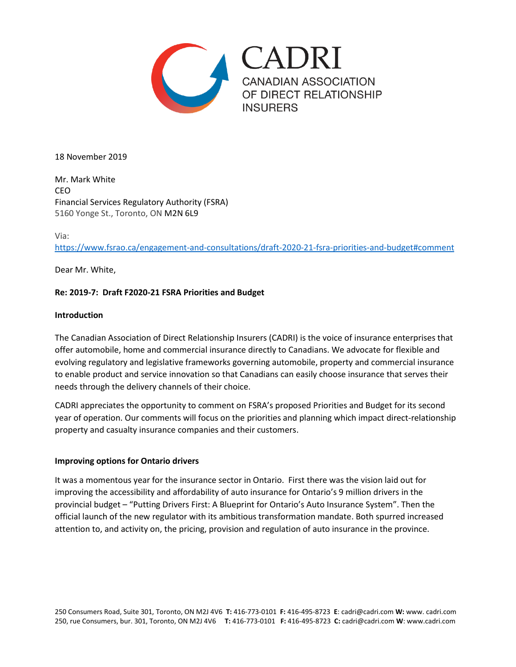

18 November 2019

Mr. Mark White CEO Financial Services Regulatory Authority (FSRA) 5160 Yonge St., Toronto, ON M2N 6L9

## Via:

<https://www.fsrao.ca/engagement-and-consultations/draft-2020-21-fsra-priorities-and-budget#comment>

Dear Mr. White,

# **Re: 2019-7: Draft F2020-21 FSRA Priorities and Budget**

## **Introduction**

The Canadian Association of Direct Relationship Insurers (CADRI) is the voice of insurance enterprises that offer automobile, home and commercial insurance directly to Canadians. We advocate for flexible and evolving regulatory and legislative frameworks governing automobile, property and commercial insurance to enable product and service innovation so that Canadians can easily choose insurance that serves their needs through the delivery channels of their choice.

CADRI appreciates the opportunity to comment on FSRA's proposed Priorities and Budget for its second year of operation. Our comments will focus on the priorities and planning which impact direct-relationship property and casualty insurance companies and their customers.

# **Improving options for Ontario drivers**

It was a momentous year for the insurance sector in Ontario. First there was the vision laid out for improving the accessibility and affordability of auto insurance for Ontario's 9 million drivers in the provincial budget – "Putting Drivers First: A Blueprint for Ontario's Auto Insurance System". Then the official launch of the new regulator with its ambitious transformation mandate. Both spurred increased attention to, and activity on, the pricing, provision and regulation of auto insurance in the province.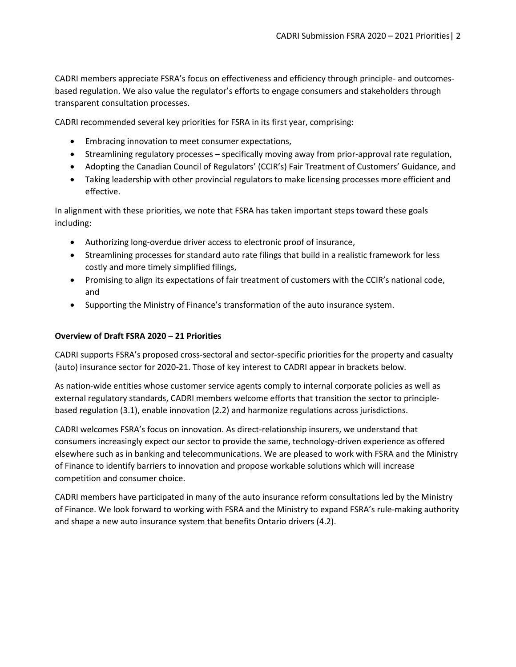CADRI members appreciate FSRA's focus on effectiveness and efficiency through principle- and outcomesbased regulation. We also value the regulator's efforts to engage consumers and stakeholders through transparent consultation processes.

CADRI recommended several key priorities for FSRA in its first year, comprising:

- Embracing innovation to meet consumer expectations,
- Streamlining regulatory processes specifically moving away from prior-approval rate regulation,
- Adopting the Canadian Council of Regulators' (CCIR's) Fair Treatment of Customers' Guidance, and
- Taking leadership with other provincial regulators to make licensing processes more efficient and effective.

In alignment with these priorities, we note that FSRA has taken important steps toward these goals including:

- Authorizing long-overdue driver access to electronic proof of insurance,
- Streamlining processes for standard auto rate filings that build in a realistic framework for less costly and more timely simplified filings,
- Promising to align its expectations of fair treatment of customers with the CCIR's national code, and
- Supporting the Ministry of Finance's transformation of the auto insurance system.

# **Overview of Draft FSRA 2020 – 21 Priorities**

CADRI supports FSRA's proposed cross-sectoral and sector-specific priorities for the property and casualty (auto) insurance sector for 2020-21. Those of key interest to CADRI appear in brackets below.

As nation-wide entities whose customer service agents comply to internal corporate policies as well as external regulatory standards, CADRI members welcome efforts that transition the sector to principlebased regulation (3.1), enable innovation (2.2) and harmonize regulations across jurisdictions.

CADRI welcomes FSRA's focus on innovation. As direct-relationship insurers, we understand that consumers increasingly expect our sector to provide the same, technology-driven experience as offered elsewhere such as in banking and telecommunications. We are pleased to work with FSRA and the Ministry of Finance to identify barriers to innovation and propose workable solutions which will increase competition and consumer choice.

CADRI members have participated in many of the auto insurance reform consultations led by the Ministry of Finance. We look forward to working with FSRA and the Ministry to expand FSRA's rule-making authority and shape a new auto insurance system that benefits Ontario drivers (4.2).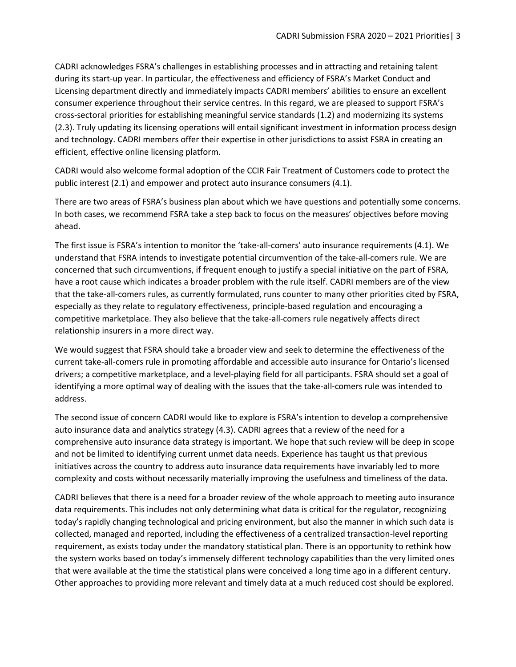CADRI acknowledges FSRA's challenges in establishing processes and in attracting and retaining talent during its start-up year. In particular, the effectiveness and efficiency of FSRA's Market Conduct and Licensing department directly and immediately impacts CADRI members' abilities to ensure an excellent consumer experience throughout their service centres. In this regard, we are pleased to support FSRA's cross-sectoral priorities for establishing meaningful service standards (1.2) and modernizing its systems (2.3). Truly updating its licensing operations will entail significant investment in information process design and technology. CADRI members offer their expertise in other jurisdictions to assist FSRA in creating an efficient, effective online licensing platform.

CADRI would also welcome formal adoption of the CCIR Fair Treatment of Customers code to protect the public interest (2.1) and empower and protect auto insurance consumers (4.1).

There are two areas of FSRA's business plan about which we have questions and potentially some concerns. In both cases, we recommend FSRA take a step back to focus on the measures' objectives before moving ahead.

The first issue is FSRA's intention to monitor the 'take-all-comers' auto insurance requirements (4.1). We understand that FSRA intends to investigate potential circumvention of the take-all-comers rule. We are concerned that such circumventions, if frequent enough to justify a special initiative on the part of FSRA, have a root cause which indicates a broader problem with the rule itself. CADRI members are of the view that the take-all-comers rules, as currently formulated, runs counter to many other priorities cited by FSRA, especially as they relate to regulatory effectiveness, principle-based regulation and encouraging a competitive marketplace. They also believe that the take-all-comers rule negatively affects direct relationship insurers in a more direct way.

We would suggest that FSRA should take a broader view and seek to determine the effectiveness of the current take-all-comers rule in promoting affordable and accessible auto insurance for Ontario's licensed drivers; a competitive marketplace, and a level-playing field for all participants. FSRA should set a goal of identifying a more optimal way of dealing with the issues that the take-all-comers rule was intended to address.

The second issue of concern CADRI would like to explore is FSRA's intention to develop a comprehensive auto insurance data and analytics strategy (4.3). CADRI agrees that a review of the need for a comprehensive auto insurance data strategy is important. We hope that such review will be deep in scope and not be limited to identifying current unmet data needs. Experience has taught us that previous initiatives across the country to address auto insurance data requirements have invariably led to more complexity and costs without necessarily materially improving the usefulness and timeliness of the data.

CADRI believes that there is a need for a broader review of the whole approach to meeting auto insurance data requirements. This includes not only determining what data is critical for the regulator, recognizing today's rapidly changing technological and pricing environment, but also the manner in which such data is collected, managed and reported, including the effectiveness of a centralized transaction-level reporting requirement, as exists today under the mandatory statistical plan. There is an opportunity to rethink how the system works based on today's immensely different technology capabilities than the very limited ones that were available at the time the statistical plans were conceived a long time ago in a different century. Other approaches to providing more relevant and timely data at a much reduced cost should be explored.